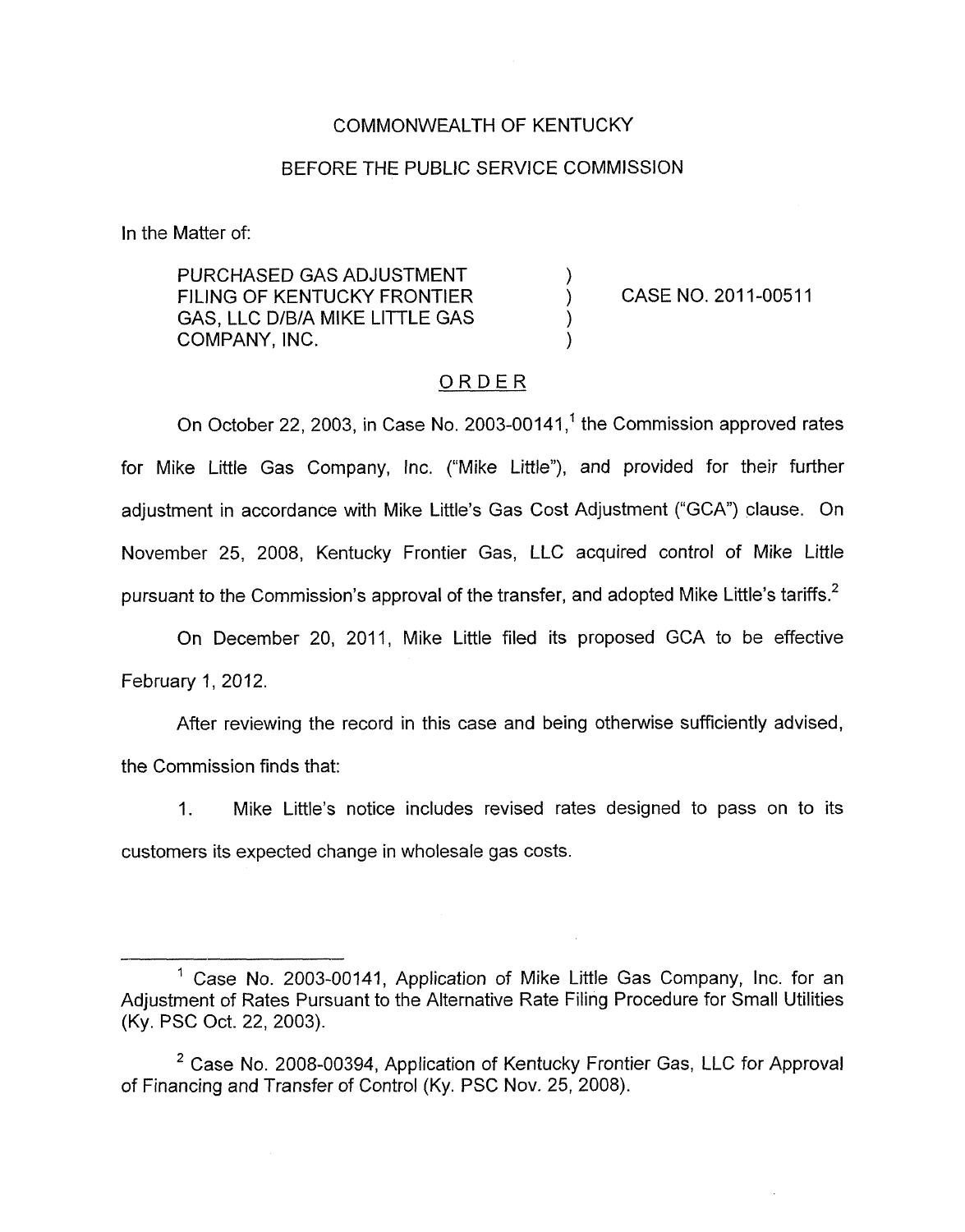## COMMONWEALTH OF KENTUCKY

### BEFORE THE PUBLIC SERVICE COMMISSION

In the Matter of:

PURCHASED GAS ADJUSTMENT  $\qquad \qquad )$ <br>FILING OF KENTUCKY FRONTIER  $\qquad \qquad )$ FILING OF KENTUCKY FRONTIER GAS, LLC D/B/A MIKE LITTLE GAS COMPANY, INC.

CASE NO. 2011-00511

#### ORDER

On October 22, 2003, in Case No. 2003-00141, $<sup>1</sup>$  the Commission approved rates</sup> for Mike Little Gas Company, fnc. ("Mike Little"), and provided for their further adjustment in accordance with Mike Little's Gas Cost Adjustment ("GCA") clause. On November 25, 2008, Kentucky Frontier Gas, LLC acquired control of Mike Little pursuant to the Commission's approval of the transfer, and adopted Mike Little's tariffs.<sup>2</sup>

On December 20, 2011, Mike Little filed its proposed GCA to be effective February 1, 2012.

After reviewing the record in this case and being otherwise sufficiently advised, the Commission finds that:

1. Mike Little's notice includes revised rates designed to pass on to its customers its expected change in wholesale gas costs.

<sup>&</sup>lt;sup>1</sup> Case No. 2003-00141, Application of Mike Little Gas Company, Inc. for an Adjustment of Rates Pursuant to the Alternative Rate Filing Procedure for Small Utilities (Ky. PSC Oct. 22, 2003).

<sup>&</sup>lt;sup>2</sup> Case No. 2008-00394, Application of Kentucky Frontier Gas, LLC for Approval of Financing and Transfer of Control (Ky. PSC Nov. 25, 2008).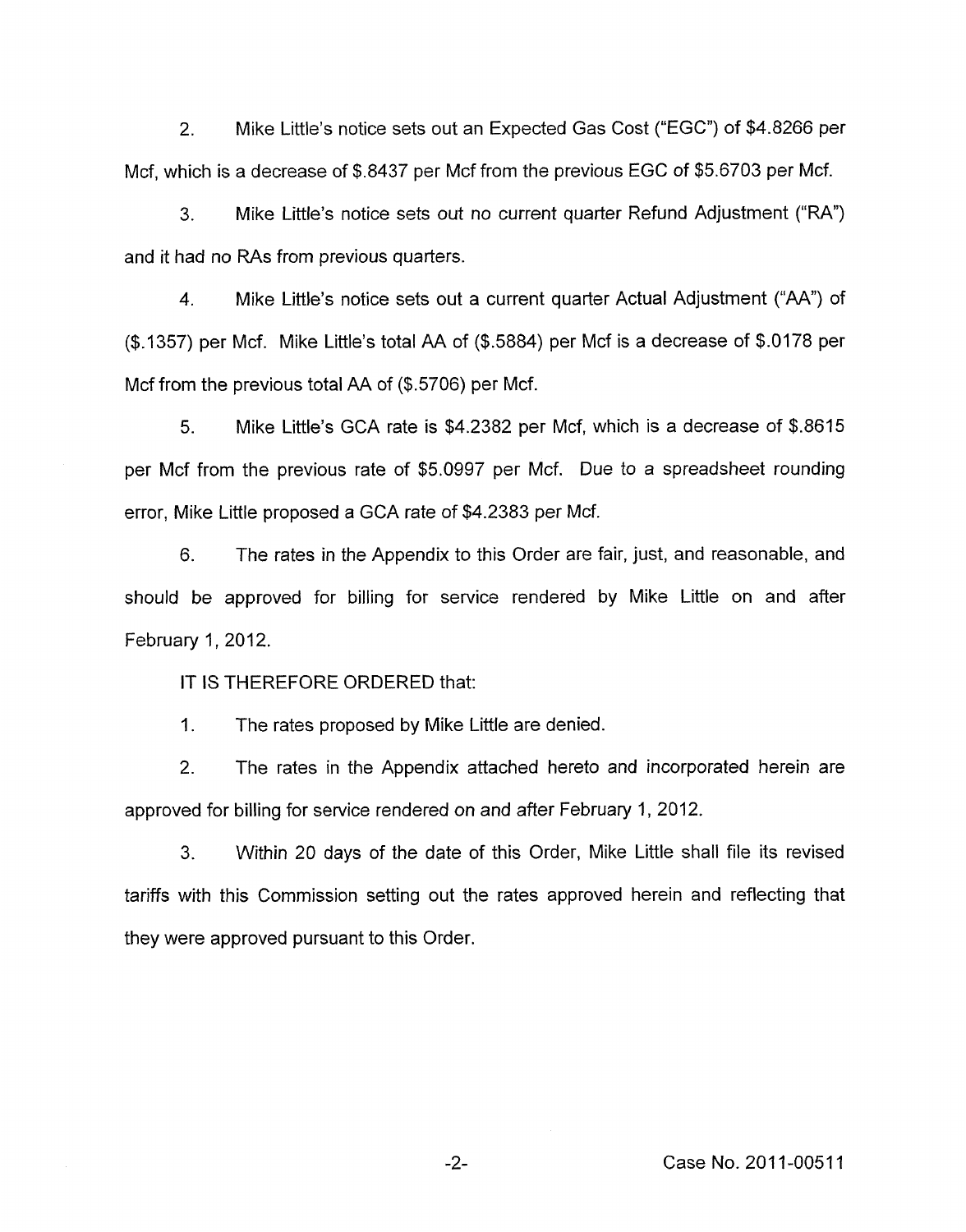2. Mike Little's notice sets out an Expected Gas Cost ("EGC'') of \$4.8266 per Mcf, which is a decrease of \$.8437 per Mcf from the previous EGC of \$5.6703 per Mcf.

3. Mike Little's notice sets out no current quarter Refund Adjustment (%A") and it had no RAs from previous quarters.

**4.** Mike Little's notice sets out a current quarter Actual Adjustment ("AA") of (\$1357) per Mcf. Mike Little's total AA of (\$5884) per Mcf is a decrease of \$.0178 per Mcf from the previous total AA of (\$.5706) per Mcf.

5. Mike Little's GCA rate is \$4.2382 per Mcf, which is a decrease of \$.8615 per Mcf from the previous rate of \$5.0997 per Mcf. Due to a spreadsheet rounding error, Mike Little proposed a GCA rate of \$4.2383 per Mcf.

6. The rates in the Appendix to this Order are fair, just, and reasonable, and should be approved for billing for service rendered by Mike Little on and after February 1, 2012.

IT **IS** THEREFORE ORDERED that:

1. The rates proposed by Mike Little are denied.

2. The rates in the Appendix attached hereto and incorporated herein are approved for billing for service rendered on and after February I, 2012.

3. Within 20 days of the date of this Order, Mike Little shall file its revised tariffs with this Commission setting out the rates approved herein and reflecting that they were approved pursuant to this Order.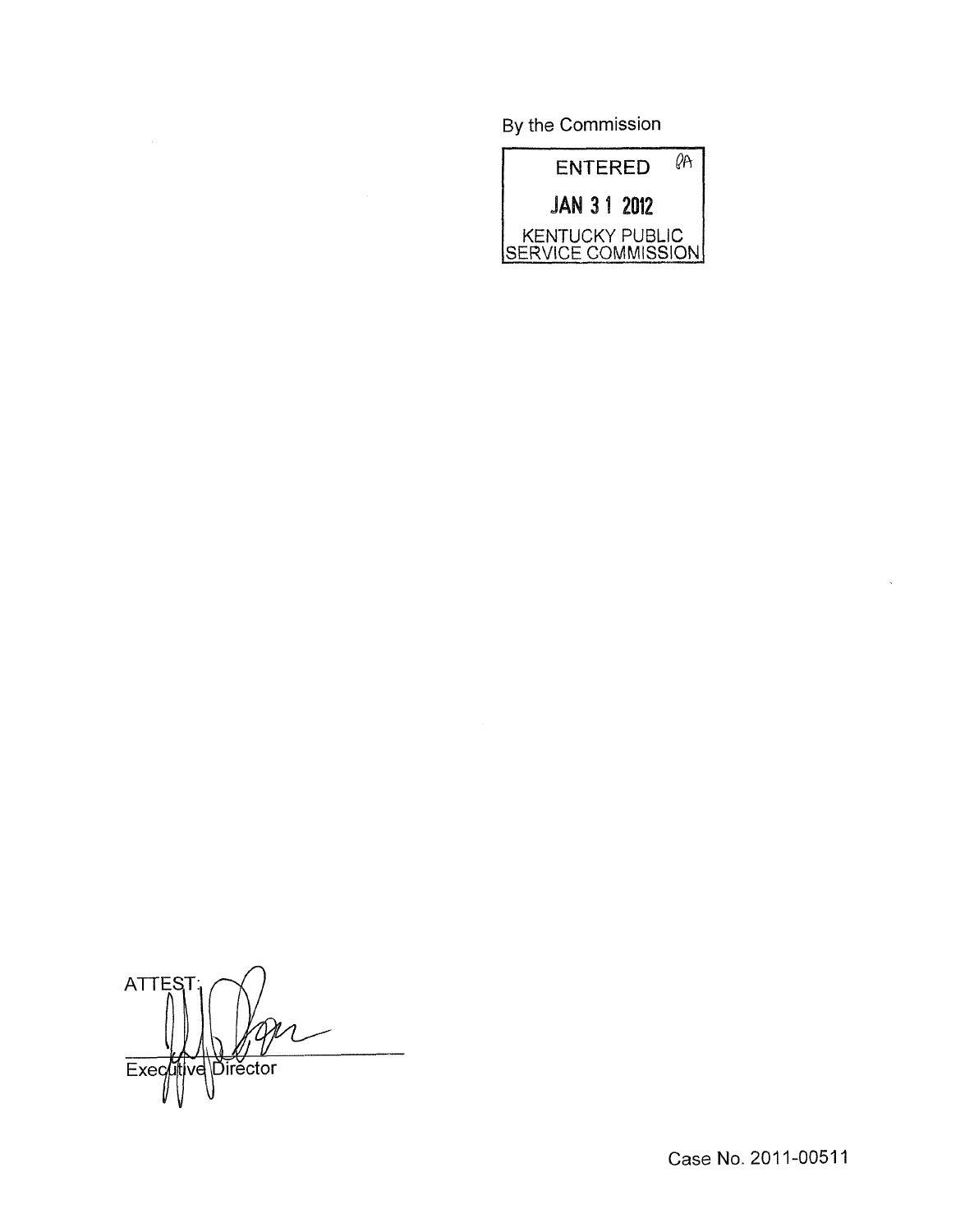By the Commission



ATTES<sub>1</sub>  $\overline{\text{b}}$ irector  $Exec$ ve

Case **No.** 201 1-0051 1

 $\bar{z}$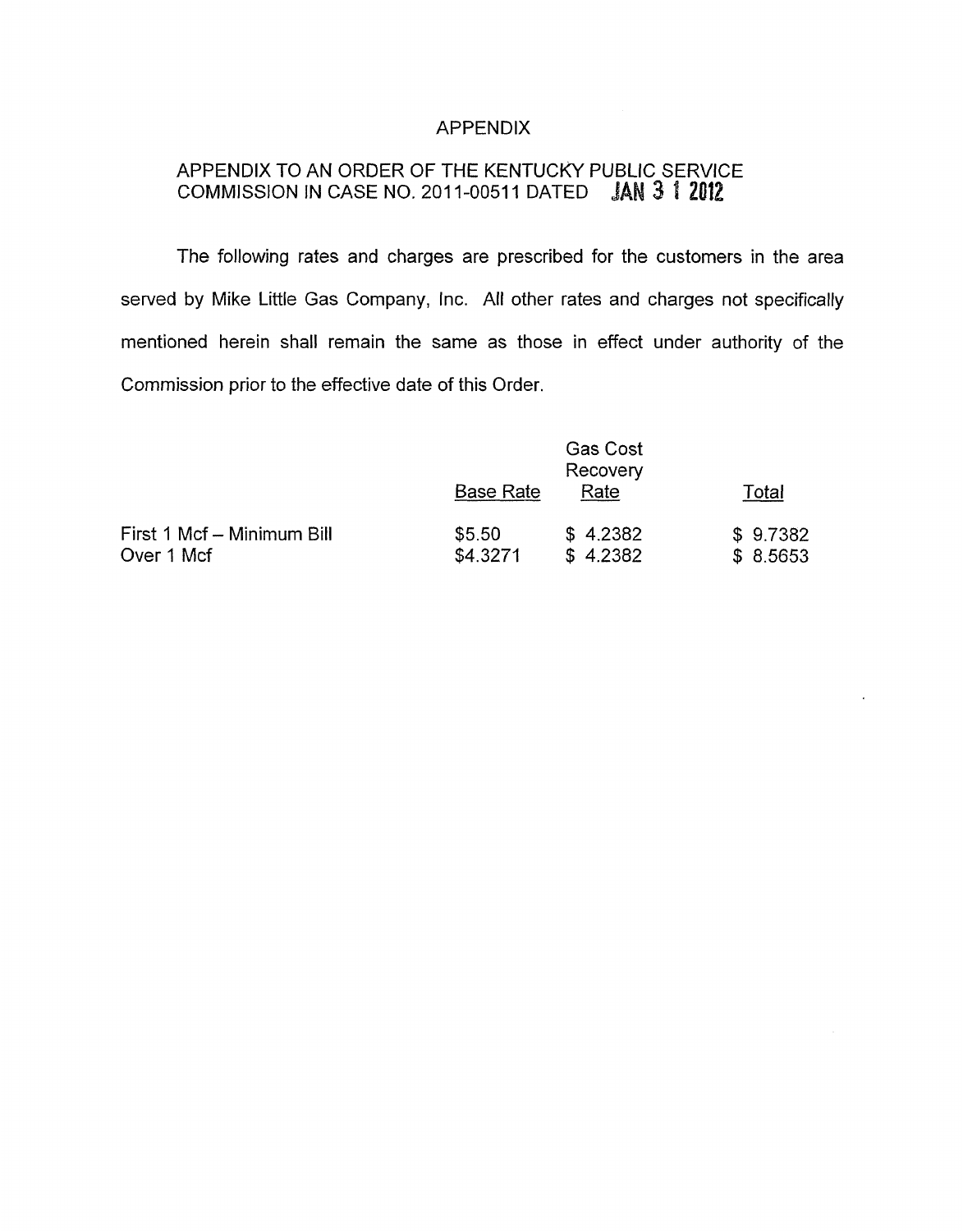## APPENDIX

# APPENDIX TO AN ORDER OF THE KENTUCKY PUBLIC SERVICE COMMISSION IN CASE NO. 2011-00511 DATED **JAN 3 1 2012**

The following rates and charges are prescribed for the customers in the area served by Mike Little Gas Company, Inc. All other rates and charges not specifically mentioned herein shall remain the same as those in effect under authority of the Commission prior to the effective date of this Order.

|                            | <b>Base Rate</b> | <b>Gas Cost</b><br>Recovery<br>Rate | Total    |
|----------------------------|------------------|-------------------------------------|----------|
| First 1 Mcf - Minimum Bill | \$5.50           | \$4.2382                            | \$9.7382 |
| Over 1 Mcf                 | \$4.3271         | \$4.2382                            | \$8.5653 |